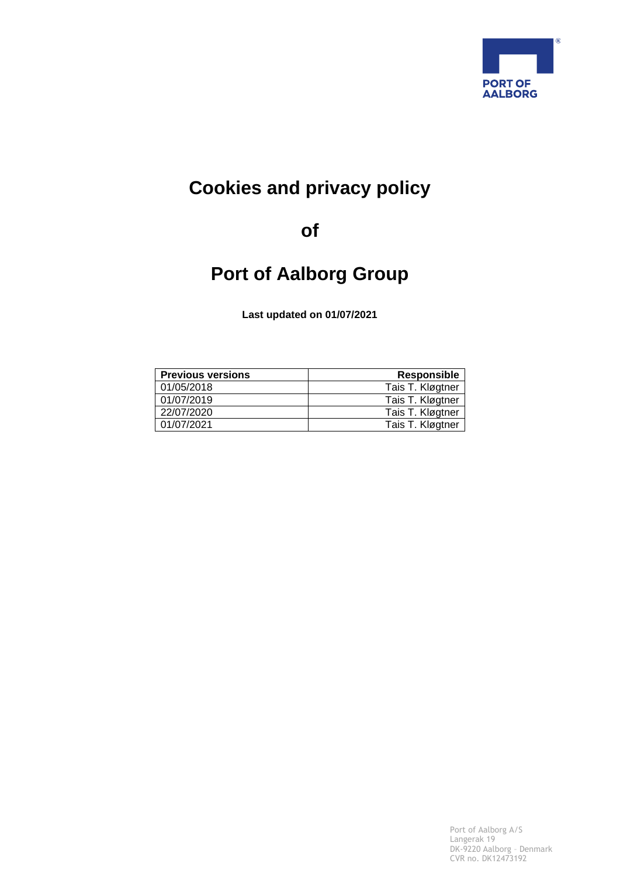

# **Cookies and privacy policy**

**of**

# **Port of Aalborg Group**

**Last updated on 01/07/2021**

| <b>Previous versions</b> | <b>Responsible</b> |
|--------------------------|--------------------|
| 01/05/2018               | Tais T. Kløgtner   |
| 01/07/2019               | Tais T. Kløgtner   |
| 22/07/2020               | Tais T. Kløgtner   |
| 01/07/2021               | Tais T. Kløgtner   |

Port of Aalborg A/S Langerak 19 DK-9220 Aalborg – Denmark CVR no. DK12473192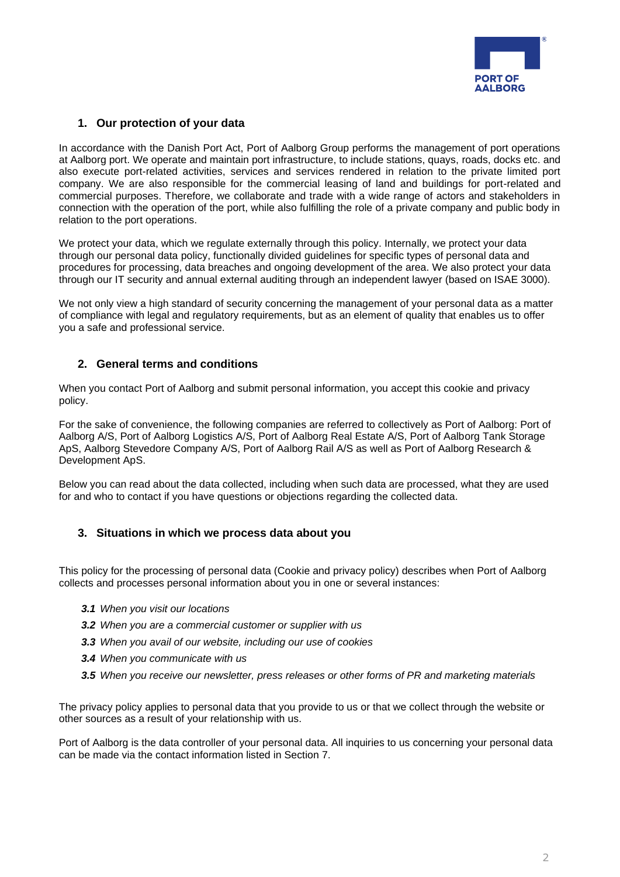

# **1. Our protection of your data**

In accordance with the Danish Port Act, Port of Aalborg Group performs the management of port operations at Aalborg port. We operate and maintain port infrastructure, to include stations, quays, roads, docks etc. and also execute port-related activities, services and services rendered in relation to the private limited port company. We are also responsible for the commercial leasing of land and buildings for port-related and commercial purposes. Therefore, we collaborate and trade with a wide range of actors and stakeholders in connection with the operation of the port, while also fulfilling the role of a private company and public body in relation to the port operations.

We protect your data, which we regulate externally through this policy. Internally, we protect your data through our personal data policy, functionally divided guidelines for specific types of personal data and procedures for processing, data breaches and ongoing development of the area. We also protect your data through our IT security and annual external auditing through an independent lawyer (based on ISAE 3000).

We not only view a high standard of security concerning the management of your personal data as a matter of compliance with legal and regulatory requirements, but as an element of quality that enables us to offer you a safe and professional service.

# **2. General terms and conditions**

When you contact Port of Aalborg and submit personal information, you accept this cookie and privacy policy.

For the sake of convenience, the following companies are referred to collectively as Port of Aalborg: Port of Aalborg A/S, Port of Aalborg Logistics A/S, Port of Aalborg Real Estate A/S, Port of Aalborg Tank Storage ApS, Aalborg Stevedore Company A/S, Port of Aalborg Rail A/S as well as Port of Aalborg Research & Development ApS.

Below you can read about the data collected, including when such data are processed, what they are used for and who to contact if you have questions or objections regarding the collected data.

## **3. Situations in which we process data about you**

This policy for the processing of personal data (Cookie and privacy policy) describes when Port of Aalborg collects and processes personal information about you in one or several instances:

- *3.1 When you visit our locations*
- *3.2 When you are a commercial customer or supplier with us*
- *3.3 When you avail of our website, including our use of cookies*
- *3.4 When you communicate with us*
- *3.5 When you receive our newsletter, press releases or other forms of PR and marketing materials*

The privacy policy applies to personal data that you provide to us or that we collect through the website or other sources as a result of your relationship with us.

Port of Aalborg is the data controller of your personal data. All inquiries to us concerning your personal data can be made via the contact information listed in Section 7.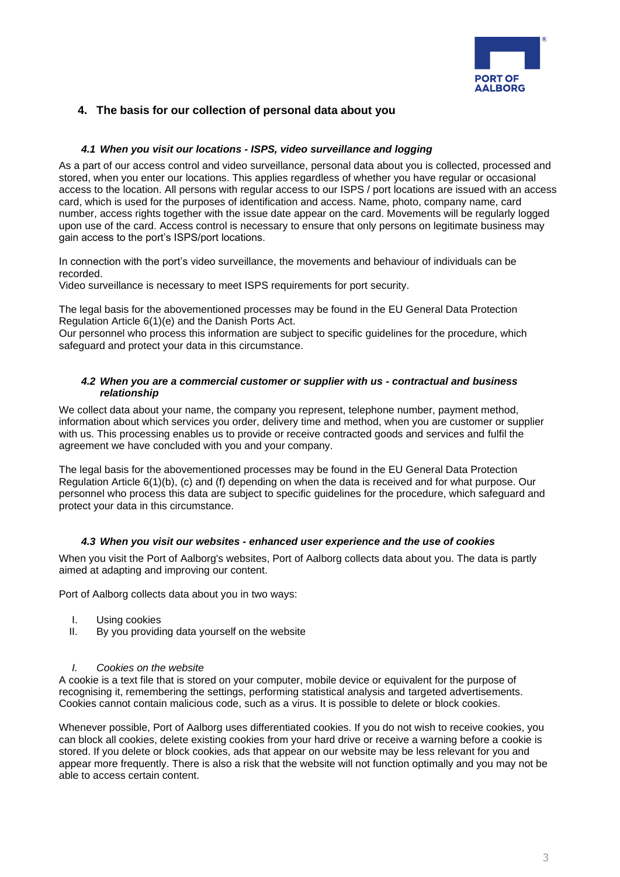

# **4. The basis for our collection of personal data about you**

## *4.1 When you visit our locations - ISPS, video surveillance and logging*

As a part of our access control and video surveillance, personal data about you is collected, processed and stored, when you enter our locations. This applies regardless of whether you have regular or occasional access to the location. All persons with regular access to our ISPS / port locations are issued with an access card, which is used for the purposes of identification and access. Name, photo, company name, card number, access rights together with the issue date appear on the card. Movements will be regularly logged upon use of the card. Access control is necessary to ensure that only persons on legitimate business may gain access to the port's ISPS/port locations.

In connection with the port's video surveillance, the movements and behaviour of individuals can be recorded.

Video surveillance is necessary to meet ISPS requirements for port security.

The legal basis for the abovementioned processes may be found in the EU General Data Protection Regulation Article 6(1)(e) and the Danish Ports Act.

Our personnel who process this information are subject to specific guidelines for the procedure, which safeguard and protect your data in this circumstance.

## *4.2 When you are a commercial customer or supplier with us - contractual and business relationship*

We collect data about your name, the company you represent, telephone number, payment method, information about which services you order, delivery time and method, when you are customer or supplier with us. This processing enables us to provide or receive contracted goods and services and fulfil the agreement we have concluded with you and your company.

The legal basis for the abovementioned processes may be found in the EU General Data Protection Regulation Article 6(1)(b), (c) and (f) depending on when the data is received and for what purpose. Our personnel who process this data are subject to specific guidelines for the procedure, which safeguard and protect your data in this circumstance.

## *4.3 When you visit our websites - enhanced user experience and the use of cookies*

When you visit the Port of Aalborg's websites, Port of Aalborg collects data about you. The data is partly aimed at adapting and improving our content.

Port of Aalborg collects data about you in two ways:

- I. Using cookies
- II. By you providing data yourself on the website

#### *I. Cookies on the website*

A cookie is a text file that is stored on your computer, mobile device or equivalent for the purpose of recognising it, remembering the settings, performing statistical analysis and targeted advertisements. Cookies cannot contain malicious code, such as a virus. It is possible to delete or block cookies.

Whenever possible, Port of Aalborg uses differentiated cookies. If you do not wish to receive cookies, you can block all cookies, delete existing cookies from your hard drive or receive a warning before a cookie is stored. If you delete or block cookies, ads that appear on our website may be less relevant for you and appear more frequently. There is also a risk that the website will not function optimally and you may not be able to access certain content.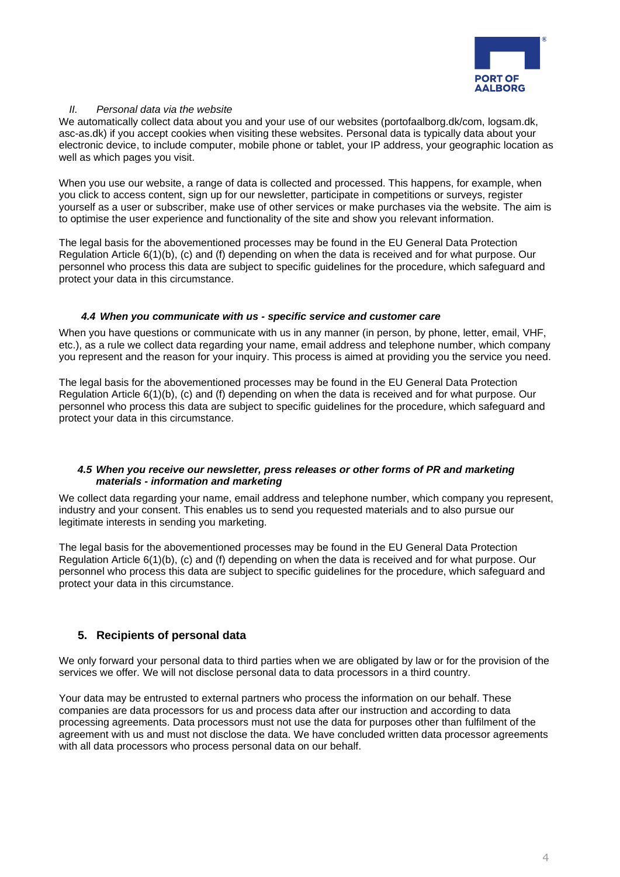

## *II. Personal data via the website*

We automatically collect data about you and your use of our websites (portofaalborg.dk/com, logsam.dk, asc-as.dk) if you accept cookies when visiting these websites. Personal data is typically data about your electronic device, to include computer, mobile phone or tablet, your IP address, your geographic location as well as which pages you visit.

When you use our website, a range of data is collected and processed. This happens, for example, when you click to access content, sign up for our newsletter, participate in competitions or surveys, register yourself as a user or subscriber, make use of other services or make purchases via the website. The aim is to optimise the user experience and functionality of the site and show you relevant information.

The legal basis for the abovementioned processes may be found in the EU General Data Protection Regulation Article 6(1)(b), (c) and (f) depending on when the data is received and for what purpose. Our personnel who process this data are subject to specific guidelines for the procedure, which safeguard and protect your data in this circumstance.

#### *4.4 When you communicate with us - specific service and customer care*

When you have questions or communicate with us in any manner (in person, by phone, letter, email, VHF, etc.), as a rule we collect data regarding your name, email address and telephone number, which company you represent and the reason for your inquiry. This process is aimed at providing you the service you need.

The legal basis for the abovementioned processes may be found in the EU General Data Protection Regulation Article 6(1)(b), (c) and (f) depending on when the data is received and for what purpose. Our personnel who process this data are subject to specific guidelines for the procedure, which safeguard and protect your data in this circumstance.

## *4.5 When you receive our newsletter, press releases or other forms of PR and marketing materials - information and marketing*

We collect data regarding your name, email address and telephone number, which company you represent, industry and your consent. This enables us to send you requested materials and to also pursue our legitimate interests in sending you marketing.

The legal basis for the abovementioned processes may be found in the EU General Data Protection Regulation Article 6(1)(b), (c) and (f) depending on when the data is received and for what purpose. Our personnel who process this data are subject to specific guidelines for the procedure, which safeguard and protect your data in this circumstance.

# **5. Recipients of personal data**

We only forward your personal data to third parties when we are obligated by law or for the provision of the services we offer. We will not disclose personal data to data processors in a third country.

Your data may be entrusted to external partners who process the information on our behalf. These companies are data processors for us and process data after our instruction and according to data processing agreements. Data processors must not use the data for purposes other than fulfilment of the agreement with us and must not disclose the data. We have concluded written data processor agreements with all data processors who process personal data on our behalf.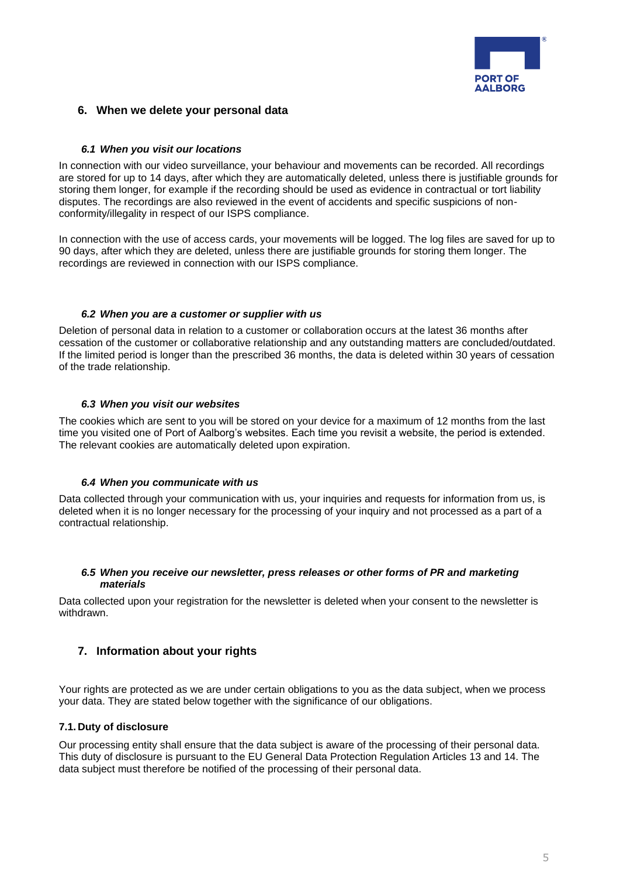

# **6. When we delete your personal data**

## *6.1 When you visit our locations*

In connection with our video surveillance, your behaviour and movements can be recorded. All recordings are stored for up to 14 days, after which they are automatically deleted, unless there is justifiable grounds for storing them longer, for example if the recording should be used as evidence in contractual or tort liability disputes. The recordings are also reviewed in the event of accidents and specific suspicions of nonconformity/illegality in respect of our ISPS compliance.

In connection with the use of access cards, your movements will be logged. The log files are saved for up to 90 days, after which they are deleted, unless there are justifiable grounds for storing them longer. The recordings are reviewed in connection with our ISPS compliance.

#### *6.2 When you are a customer or supplier with us*

Deletion of personal data in relation to a customer or collaboration occurs at the latest 36 months after cessation of the customer or collaborative relationship and any outstanding matters are concluded/outdated. If the limited period is longer than the prescribed 36 months, the data is deleted within 30 years of cessation of the trade relationship.

#### *6.3 When you visit our websites*

The cookies which are sent to you will be stored on your device for a maximum of 12 months from the last time you visited one of Port of Aalborg's websites. Each time you revisit a website, the period is extended. The relevant cookies are automatically deleted upon expiration.

#### *6.4 When you communicate with us*

Data collected through your communication with us, your inquiries and requests for information from us, is deleted when it is no longer necessary for the processing of your inquiry and not processed as a part of a contractual relationship.

#### *6.5 When you receive our newsletter, press releases or other forms of PR and marketing materials*

Data collected upon your registration for the newsletter is deleted when your consent to the newsletter is withdrawn.

# **7. Information about your rights**

Your rights are protected as we are under certain obligations to you as the data subject, when we process your data. They are stated below together with the significance of our obligations.

#### **7.1. Duty of disclosure**

Our processing entity shall ensure that the data subject is aware of the processing of their personal data. This duty of disclosure is pursuant to the EU General Data Protection Regulation Articles 13 and 14. The data subject must therefore be notified of the processing of their personal data.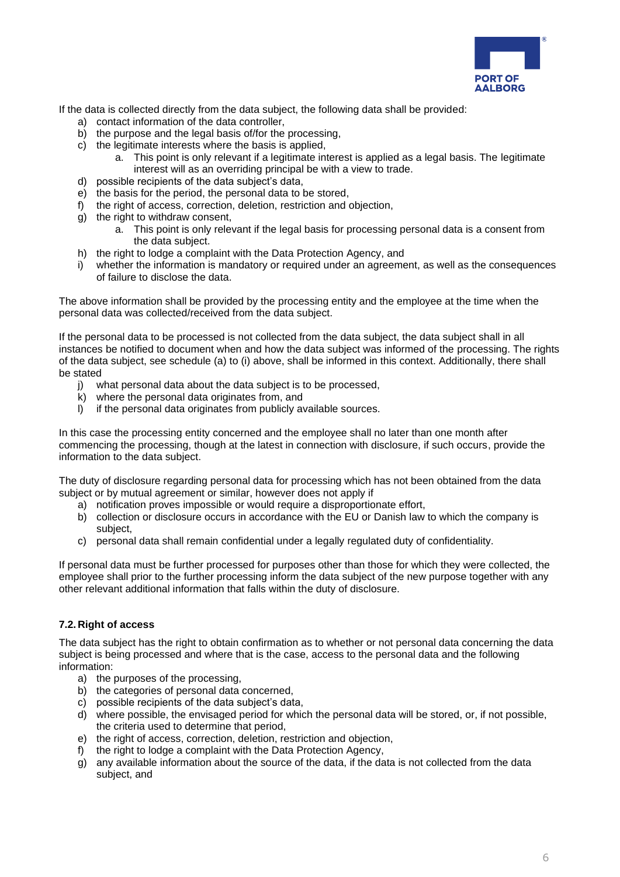

If the data is collected directly from the data subject, the following data shall be provided:

- a) contact information of the data controller,
- b) the purpose and the legal basis of/for the processing,
- c) the legitimate interests where the basis is applied,
	- a. This point is only relevant if a legitimate interest is applied as a legal basis. The legitimate interest will as an overriding principal be with a view to trade.
- d) possible recipients of the data subject's data,
- e) the basis for the period, the personal data to be stored,
- f) the right of access, correction, deletion, restriction and objection,
- g) the right to withdraw consent,
	- a. This point is only relevant if the legal basis for processing personal data is a consent from the data subject.
- h) the right to lodge a complaint with the Data Protection Agency, and
- i) whether the information is mandatory or required under an agreement, as well as the consequences of failure to disclose the data.

The above information shall be provided by the processing entity and the employee at the time when the personal data was collected/received from the data subject.

If the personal data to be processed is not collected from the data subject, the data subject shall in all instances be notified to document when and how the data subject was informed of the processing. The rights of the data subject, see schedule (a) to (i) above, shall be informed in this context. Additionally, there shall be stated

- j) what personal data about the data subject is to be processed,
- k) where the personal data originates from, and
- l) if the personal data originates from publicly available sources.

In this case the processing entity concerned and the employee shall no later than one month after commencing the processing, though at the latest in connection with disclosure, if such occurs, provide the information to the data subject.

The duty of disclosure regarding personal data for processing which has not been obtained from the data subject or by mutual agreement or similar, however does not apply if

- a) notification proves impossible or would require a disproportionate effort,
- b) collection or disclosure occurs in accordance with the EU or Danish law to which the company is subject,
- c) personal data shall remain confidential under a legally regulated duty of confidentiality.

If personal data must be further processed for purposes other than those for which they were collected, the employee shall prior to the further processing inform the data subject of the new purpose together with any other relevant additional information that falls within the duty of disclosure.

## **7.2. Right of access**

The data subject has the right to obtain confirmation as to whether or not personal data concerning the data subject is being processed and where that is the case, access to the personal data and the following information:

- a) the purposes of the processing,
- b) the categories of personal data concerned,
- c) possible recipients of the data subject's data,
- d) where possible, the envisaged period for which the personal data will be stored, or, if not possible, the criteria used to determine that period,
- e) the right of access, correction, deletion, restriction and objection,
- f) the right to lodge a complaint with the Data Protection Agency,
- g) any available information about the source of the data, if the data is not collected from the data subject, and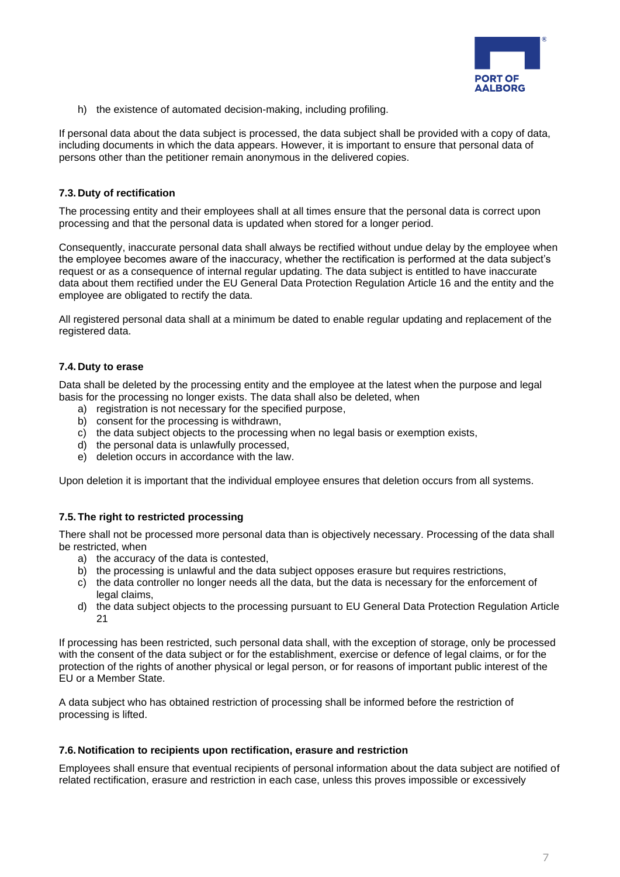

h) the existence of automated decision-making, including profiling.

If personal data about the data subject is processed, the data subject shall be provided with a copy of data, including documents in which the data appears. However, it is important to ensure that personal data of persons other than the petitioner remain anonymous in the delivered copies.

## **7.3. Duty of rectification**

The processing entity and their employees shall at all times ensure that the personal data is correct upon processing and that the personal data is updated when stored for a longer period.

Consequently, inaccurate personal data shall always be rectified without undue delay by the employee when the employee becomes aware of the inaccuracy, whether the rectification is performed at the data subject's request or as a consequence of internal regular updating. The data subject is entitled to have inaccurate data about them rectified under the EU General Data Protection Regulation Article 16 and the entity and the employee are obligated to rectify the data.

All registered personal data shall at a minimum be dated to enable regular updating and replacement of the registered data.

## **7.4. Duty to erase**

Data shall be deleted by the processing entity and the employee at the latest when the purpose and legal basis for the processing no longer exists. The data shall also be deleted, when

- a) registration is not necessary for the specified purpose.
- b) consent for the processing is withdrawn,
- c) the data subject objects to the processing when no legal basis or exemption exists,
- d) the personal data is unlawfully processed,
- e) deletion occurs in accordance with the law.

Upon deletion it is important that the individual employee ensures that deletion occurs from all systems.

#### **7.5.The right to restricted processing**

There shall not be processed more personal data than is objectively necessary. Processing of the data shall be restricted, when

- a) the accuracy of the data is contested,
- b) the processing is unlawful and the data subject opposes erasure but requires restrictions,
- c) the data controller no longer needs all the data, but the data is necessary for the enforcement of legal claims,
- d) the data subject objects to the processing pursuant to EU General Data Protection Regulation Article 21

If processing has been restricted, such personal data shall, with the exception of storage, only be processed with the consent of the data subject or for the establishment, exercise or defence of legal claims, or for the protection of the rights of another physical or legal person, or for reasons of important public interest of the EU or a Member State.

A data subject who has obtained restriction of processing shall be informed before the restriction of processing is lifted.

#### **7.6. Notification to recipients upon rectification, erasure and restriction**

Employees shall ensure that eventual recipients of personal information about the data subject are notified of related rectification, erasure and restriction in each case, unless this proves impossible or excessively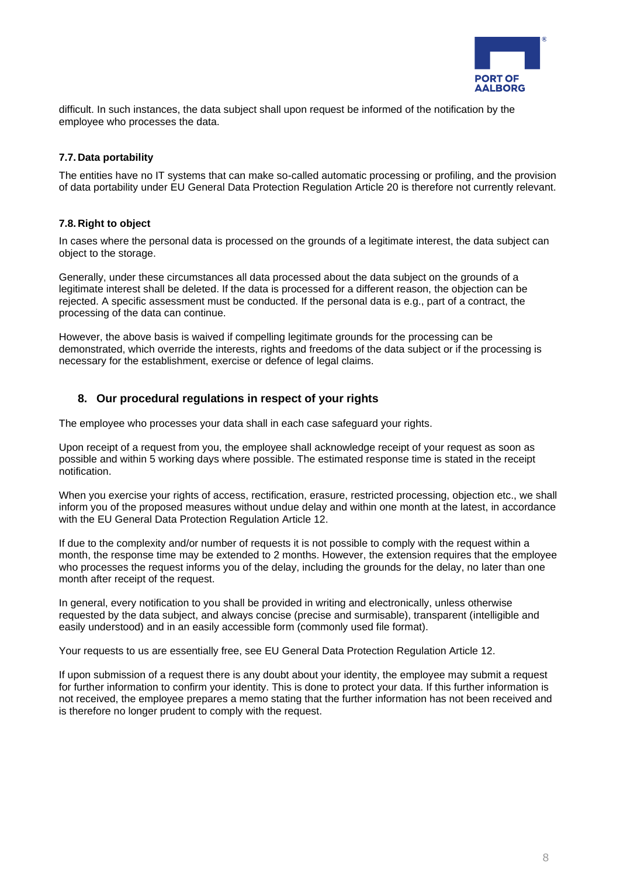

difficult. In such instances, the data subject shall upon request be informed of the notification by the employee who processes the data.

# **7.7. Data portability**

The entities have no IT systems that can make so-called automatic processing or profiling, and the provision of data portability under EU General Data Protection Regulation Article 20 is therefore not currently relevant.

## **7.8. Right to object**

In cases where the personal data is processed on the grounds of a legitimate interest, the data subject can object to the storage.

Generally, under these circumstances all data processed about the data subject on the grounds of a legitimate interest shall be deleted. If the data is processed for a different reason, the objection can be rejected. A specific assessment must be conducted. If the personal data is e.g., part of a contract, the processing of the data can continue.

However, the above basis is waived if compelling legitimate grounds for the processing can be demonstrated, which override the interests, rights and freedoms of the data subject or if the processing is necessary for the establishment, exercise or defence of legal claims.

# **8. Our procedural regulations in respect of your rights**

The employee who processes your data shall in each case safeguard your rights.

Upon receipt of a request from you, the employee shall acknowledge receipt of your request as soon as possible and within 5 working days where possible. The estimated response time is stated in the receipt notification.

When you exercise your rights of access, rectification, erasure, restricted processing, objection etc., we shall inform you of the proposed measures without undue delay and within one month at the latest, in accordance with the EU General Data Protection Regulation Article 12.

If due to the complexity and/or number of requests it is not possible to comply with the request within a month, the response time may be extended to 2 months. However, the extension requires that the employee who processes the request informs you of the delay, including the grounds for the delay, no later than one month after receipt of the request.

In general, every notification to you shall be provided in writing and electronically, unless otherwise requested by the data subject, and always concise (precise and surmisable), transparent (intelligible and easily understood) and in an easily accessible form (commonly used file format).

Your requests to us are essentially free, see EU General Data Protection Regulation Article 12.

If upon submission of a request there is any doubt about your identity, the employee may submit a request for further information to confirm your identity. This is done to protect your data. If this further information is not received, the employee prepares a memo stating that the further information has not been received and is therefore no longer prudent to comply with the request.